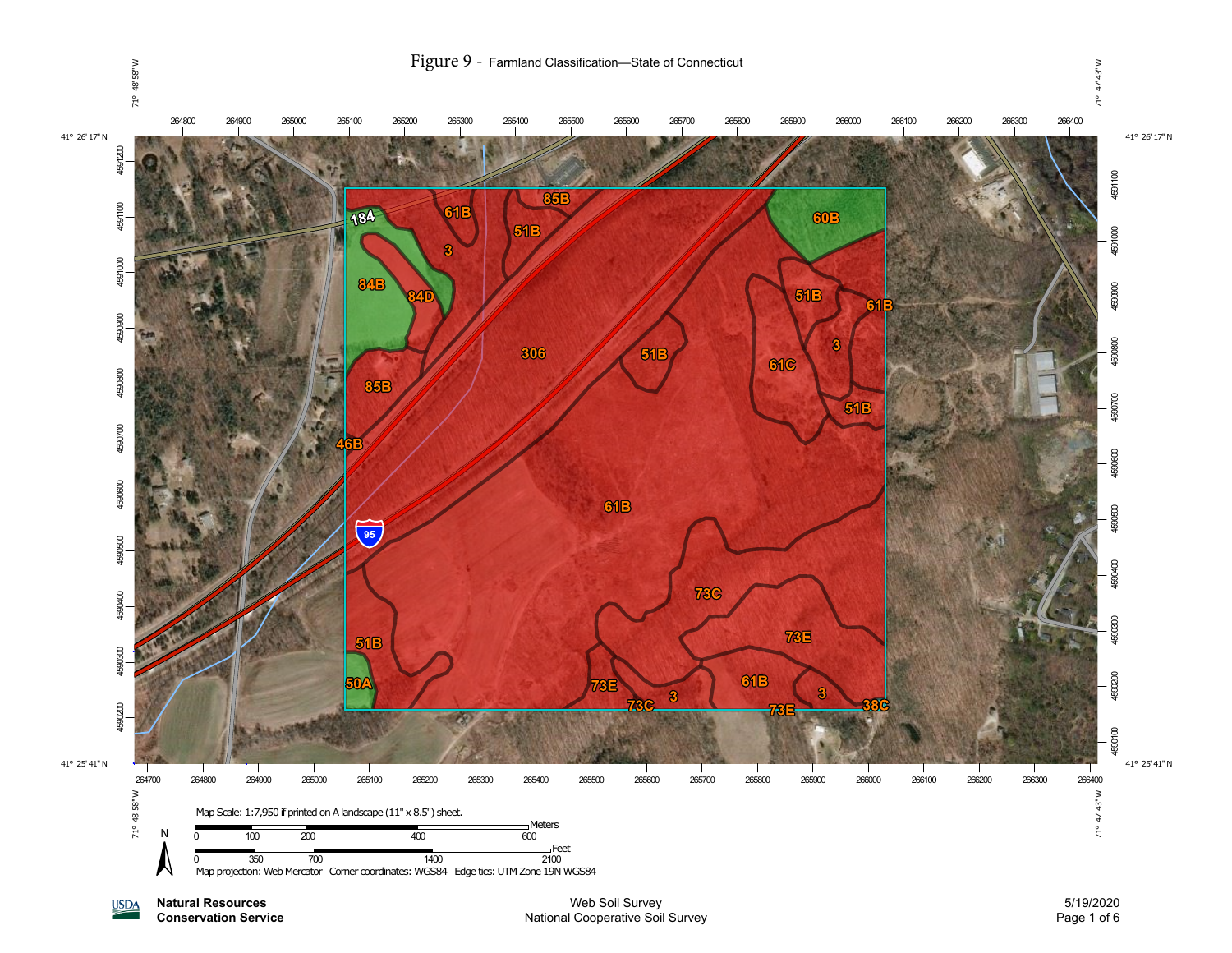

**Natural Resources USDA Conservation Service**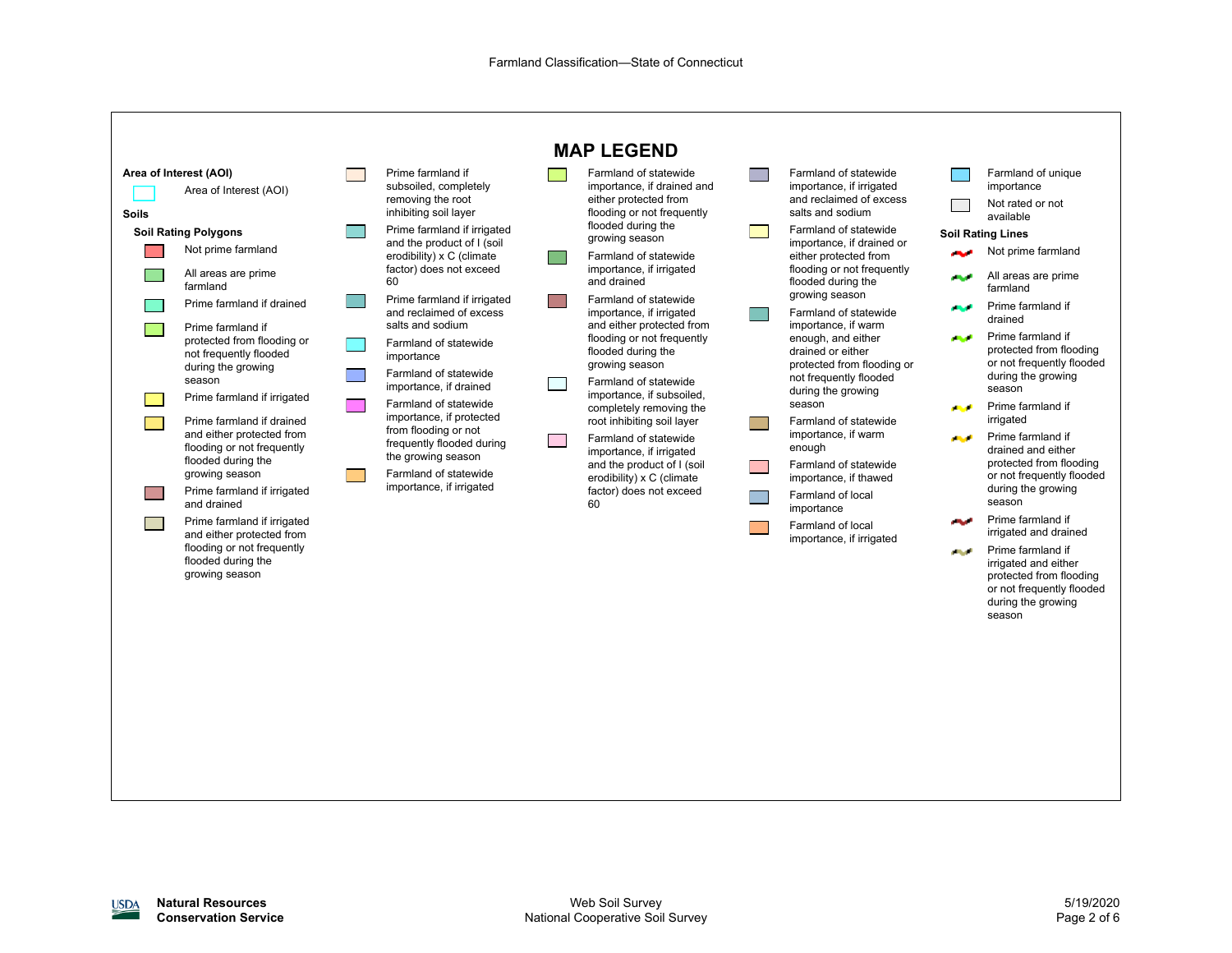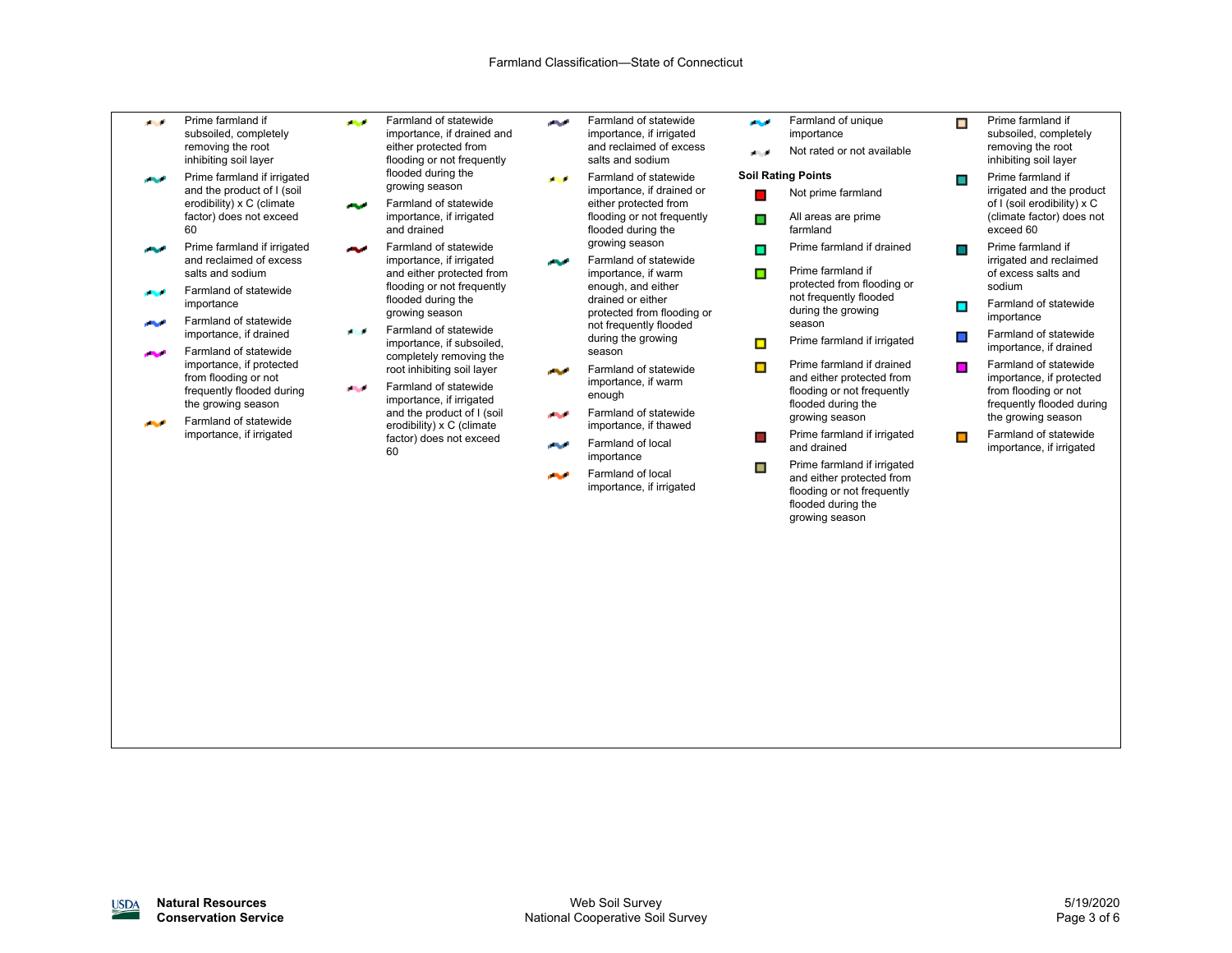- Prime farmland if المحال subsoiled, completely removing the root inhibiting soil layer
- Prime farmland if irrigated المحامد and the product of I (soil erodibility) x C (climate factor) does not exceed 60
- Prime farmland if irrigated أمروني and reclaimed of excess salts and sodium
- Farmland of statewide importance
- Farmland of statewide المحالين importance, if drained
- Farmland of statewide المحاد importance, if protected from flooding or not frequently flooded during the growing season
- Farmland of statewide **START** importance, if irrigated
- Farmland of statewide importance, if drained and either protected from flooding or not frequently flooded during the
- growing season Farmland of statewide المحالين importance, if irrigated and drained

**START** 

- Farmland of statewide المحادر importance, if irrigated and either protected from flooding or not frequently flooded during the growing season Farmland of statewide **All Ad**
- importance, if subsoiled, completely removing the root inhibiting soil layer Farmland of statewide **START**

importance, if irrigated and the product of I (soil erodibility) x C (climate factor) does not exceed 60

- أفراقه Farmland of statewide importance, if irrigated and reclaimed of excess salts and sodium
- Farmland of statewide أستعد importance, if drained or either protected from flooding or not frequently flooded during the growing season
- Farmland of statewide المتحامر importance, if warm enough, and either drained or either protected from flooding or not frequently flooded during the growing season
- Farmland of statewide أحربوهم importance, if warm enough
- Farmland of statewide المحاد importance, if thawed
- Farmland of local أحرجت importance
- Farmland of local فتحامد importance, if irrigated
- **Page** Farmland of unique importance Not rated or not available المراجع **Soil Rating Points**
- Not prime farmland
	- All areas are prime farmland
- Prime farmland if drained  $\blacksquare$
- Prime farmland if  $\blacksquare$ protected from flooding or not frequently flooded during the growing season
- Prime farmland if irrigated  $\blacksquare$
- Prime farmland if drained  $\blacksquare$ and either protected from flooding or not frequently flooded during the growing season
- Prime farmland if irrigated  $\Box$ and drained
- Prime farmland if irrigated  $\blacksquare$ and either protected from flooding or not frequently flooded during the growing season
- $\blacksquare$ Prime farmland if subsoiled, completely removing the root inhibiting soil layer
- Prime farmland if  $\blacksquare$ irrigated and the product of I (soil erodibility) x C (climate factor) does not exceed 60
- Prime farmland if  $\Box$ irrigated and reclaimed of excess salts and sodium
- Farmland of statewide  $\blacksquare$ importance
- Farmland of statewide  $\blacksquare$ importance, if drained
- Farmland of statewide  $\blacksquare$ importance, if protected from flooding or not frequently flooded during the growing season
- Farmland of statewide  $\blacksquare$ importance, if irrigated

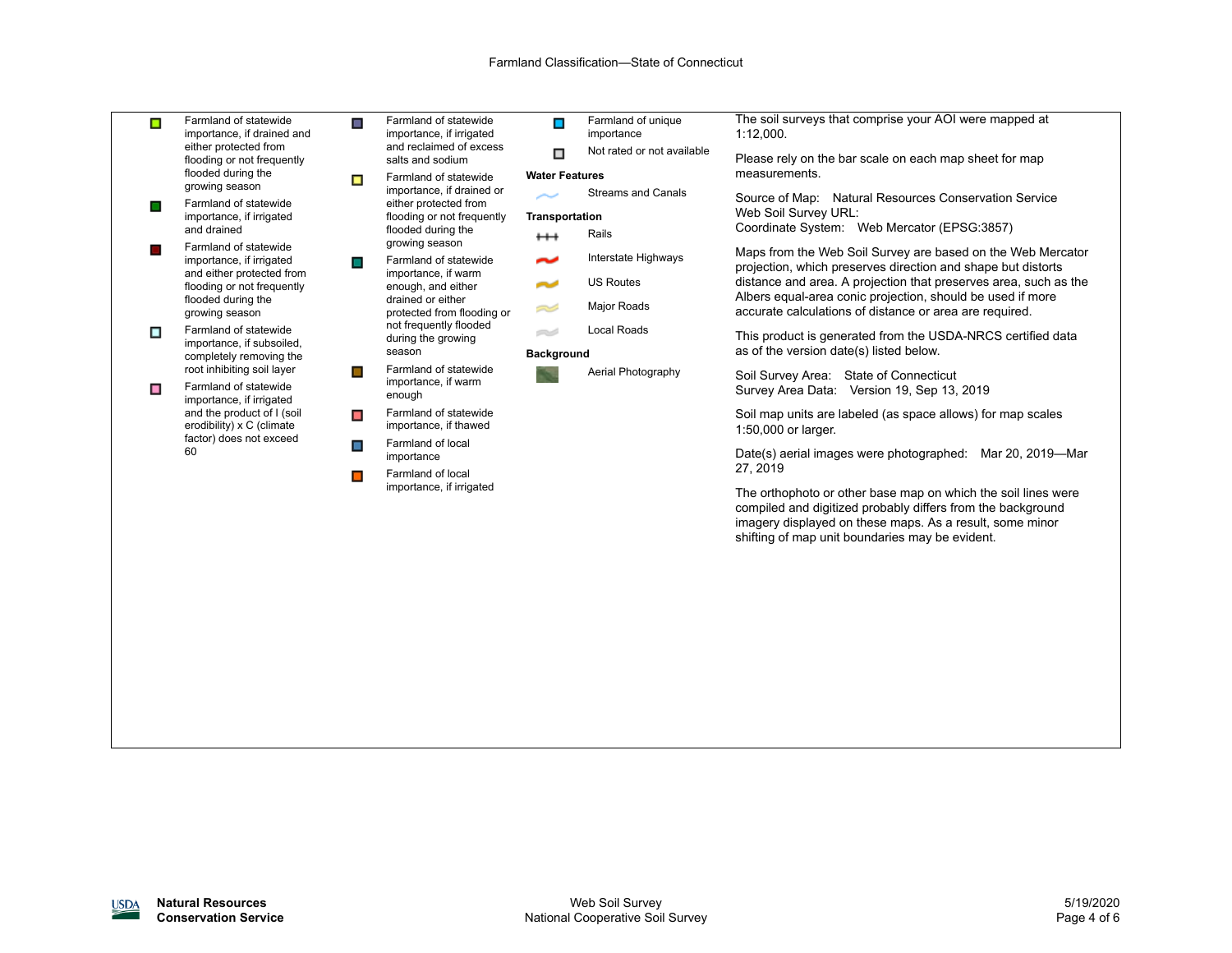| $\blacksquare$ | Farmland of statewide<br>importance, if drained and<br>either protected from<br>flooding or not frequently<br>flooded during the<br>growing season   | $\blacksquare$ | Farmland of statewide<br>importance, if irrigated<br>and reclaimed of excess<br>salts and sodium                                                                                | $\blacksquare$        | Farmland of unique<br>importance | The soil surveys that comprise your AOI were mapped at<br>1:12,000.                                                                                                                                                                         |  |
|----------------|------------------------------------------------------------------------------------------------------------------------------------------------------|----------------|---------------------------------------------------------------------------------------------------------------------------------------------------------------------------------|-----------------------|----------------------------------|---------------------------------------------------------------------------------------------------------------------------------------------------------------------------------------------------------------------------------------------|--|
|                |                                                                                                                                                      |                |                                                                                                                                                                                 | □                     | Not rated or not available       | Please rely on the bar scale on each map sheet for map                                                                                                                                                                                      |  |
|                |                                                                                                                                                      | $\Box$         | Farmland of statewide<br>importance, if drained or<br>either protected from<br>flooding or not frequently<br>flooded during the<br>growing season                               | <b>Water Features</b> |                                  | measurements.                                                                                                                                                                                                                               |  |
|                | Farmland of statewide<br>importance, if irrigated<br>and drained                                                                                     |                |                                                                                                                                                                                 |                       | <b>Streams and Canals</b>        | Source of Map: Natural Resources Conservation Service                                                                                                                                                                                       |  |
|                |                                                                                                                                                      |                |                                                                                                                                                                                 | Transportation        |                                  | Web Soil Survey URL:                                                                                                                                                                                                                        |  |
|                |                                                                                                                                                      |                |                                                                                                                                                                                 | $^{\rm ++}$           | Rails                            | Coordinate System: Web Mercator (EPSG:3857)                                                                                                                                                                                                 |  |
| $\Box$         | Farmland of statewide<br>importance, if irrigated<br>and either protected from<br>flooding or not frequently<br>flooded during the<br>growing season | $\Box$         | Farmland of statewide<br>importance, if warm<br>enough, and either<br>drained or either<br>protected from flooding or<br>not frequently flooded<br>during the growing<br>season | $\tilde{\phantom{a}}$ | Interstate Highways              | Maps from the Web Soil Survey are based on the Web Mercator<br>projection, which preserves direction and shape but distorts                                                                                                                 |  |
|                |                                                                                                                                                      |                |                                                                                                                                                                                 | محاسم                 | <b>US Routes</b>                 | distance and area. A projection that preserves area, such as the                                                                                                                                                                            |  |
|                |                                                                                                                                                      |                |                                                                                                                                                                                 | Z.                    | Major Roads                      | Albers equal-area conic projection, should be used if more<br>accurate calculations of distance or area are required.                                                                                                                       |  |
| $\blacksquare$ | Farmland of statewide<br>importance, if subsoiled,<br>completely removing the                                                                        |                |                                                                                                                                                                                 | e S                   | Local Roads                      | This product is generated from the USDA-NRCS certified data                                                                                                                                                                                 |  |
|                |                                                                                                                                                      |                |                                                                                                                                                                                 | <b>Background</b>     |                                  | as of the version date(s) listed below.                                                                                                                                                                                                     |  |
|                | root inhibiting soil layer                                                                                                                           | $\Box$         | Farmland of statewide<br>importance, if warm<br>enough<br>Farmland of statewide<br>importance, if thawed                                                                        |                       | Aerial Photography               | Soil Survey Area: State of Connecticut<br>Survey Area Data: Version 19, Sep 13, 2019                                                                                                                                                        |  |
| $\blacksquare$ | Farmland of statewide<br>importance, if irrigated<br>and the product of I (soil<br>erodibility) x C (climate<br>factor) does not exceed<br>60        |                |                                                                                                                                                                                 |                       |                                  |                                                                                                                                                                                                                                             |  |
|                |                                                                                                                                                      | $\blacksquare$ |                                                                                                                                                                                 |                       |                                  | Soil map units are labeled (as space allows) for map scales<br>1:50,000 or larger.                                                                                                                                                          |  |
|                |                                                                                                                                                      | $\blacksquare$ | Farmland of local                                                                                                                                                               |                       |                                  |                                                                                                                                                                                                                                             |  |
|                |                                                                                                                                                      |                | importance<br>Farmland of local<br>importance, if irrigated                                                                                                                     |                       |                                  | Date(s) aerial images were photographed: Mar 20, 2019-Mar<br>27, 2019                                                                                                                                                                       |  |
|                |                                                                                                                                                      | $\Box$         |                                                                                                                                                                                 |                       |                                  |                                                                                                                                                                                                                                             |  |
|                |                                                                                                                                                      |                |                                                                                                                                                                                 |                       |                                  | The orthophoto or other base map on which the soil lines were<br>compiled and digitized probably differs from the background<br>imagery displayed on these maps. As a result, some minor<br>shifting of map unit boundaries may be evident. |  |
|                |                                                                                                                                                      |                |                                                                                                                                                                                 |                       |                                  |                                                                                                                                                                                                                                             |  |
|                |                                                                                                                                                      |                |                                                                                                                                                                                 |                       |                                  |                                                                                                                                                                                                                                             |  |
|                |                                                                                                                                                      |                |                                                                                                                                                                                 |                       |                                  |                                                                                                                                                                                                                                             |  |
|                |                                                                                                                                                      |                |                                                                                                                                                                                 |                       |                                  |                                                                                                                                                                                                                                             |  |
|                |                                                                                                                                                      |                |                                                                                                                                                                                 |                       |                                  |                                                                                                                                                                                                                                             |  |
|                |                                                                                                                                                      |                |                                                                                                                                                                                 |                       |                                  |                                                                                                                                                                                                                                             |  |
|                |                                                                                                                                                      |                |                                                                                                                                                                                 |                       |                                  |                                                                                                                                                                                                                                             |  |
|                |                                                                                                                                                      |                |                                                                                                                                                                                 |                       |                                  |                                                                                                                                                                                                                                             |  |
|                |                                                                                                                                                      |                |                                                                                                                                                                                 |                       |                                  |                                                                                                                                                                                                                                             |  |
|                |                                                                                                                                                      |                |                                                                                                                                                                                 |                       |                                  |                                                                                                                                                                                                                                             |  |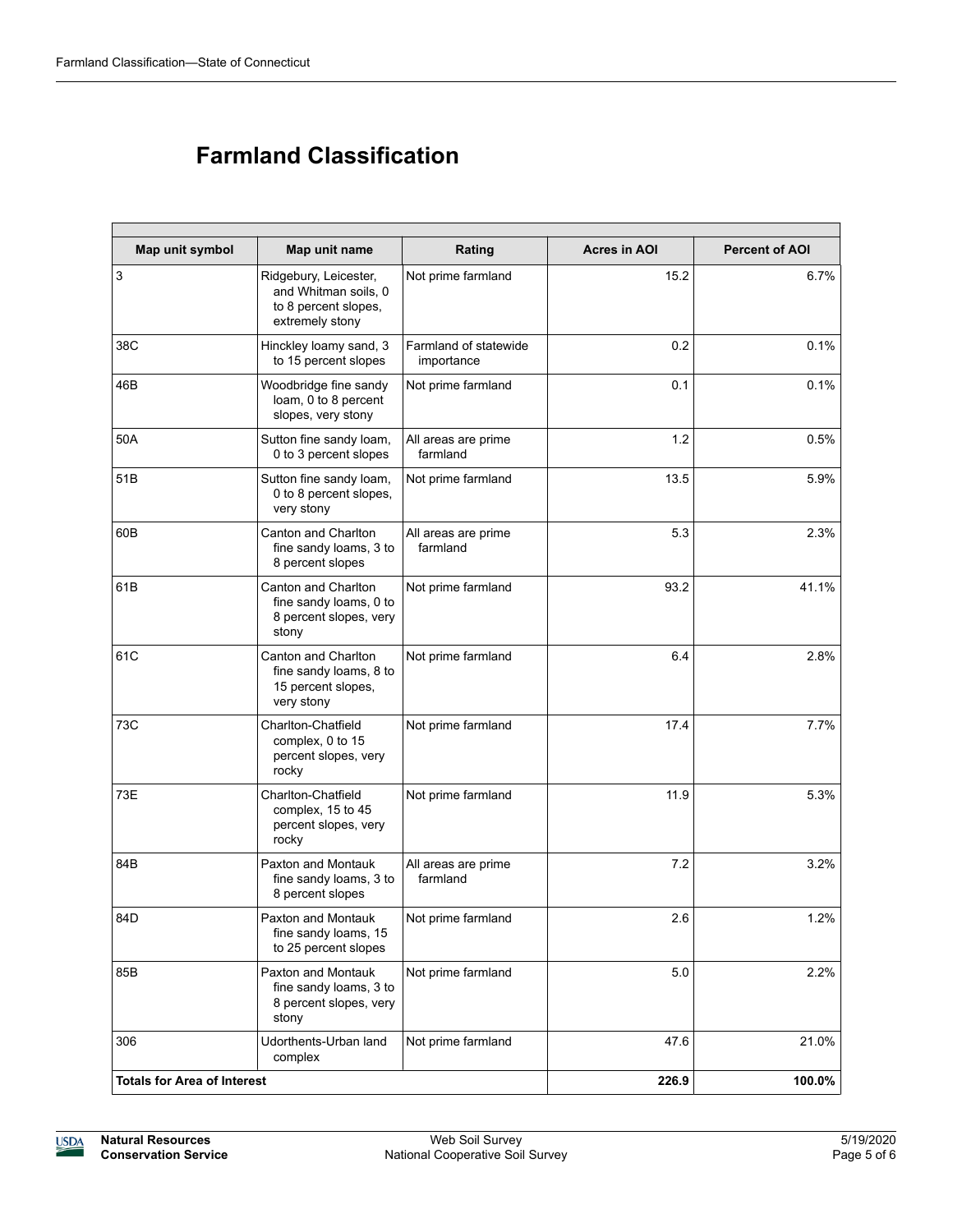## **Farmland Classification**

| Map unit symbol                    | Map unit name                                                                            | Rating                              | <b>Acres in AOI</b> | <b>Percent of AOI</b> |
|------------------------------------|------------------------------------------------------------------------------------------|-------------------------------------|---------------------|-----------------------|
| $\mathbf{3}$                       | Ridgebury, Leicester,<br>and Whitman soils, 0<br>to 8 percent slopes.<br>extremely stony | Not prime farmland                  | 15.2                | 6.7%                  |
| 38C                                | Hinckley loamy sand, 3<br>to 15 percent slopes                                           | Farmland of statewide<br>importance | 0.2                 | 0.1%                  |
| 46B                                | Woodbridge fine sandy<br>loam, 0 to 8 percent<br>slopes, very stony                      | Not prime farmland                  | 0.1                 | 0.1%                  |
| 50A                                | Sutton fine sandy loam,<br>0 to 3 percent slopes                                         | All areas are prime<br>farmland     | 1.2                 | 0.5%                  |
| 51B                                | Sutton fine sandy loam,<br>0 to 8 percent slopes,<br>very stony                          | Not prime farmland                  | 13.5                | 5.9%                  |
| 60B                                | Canton and Charlton<br>fine sandy loams, 3 to<br>8 percent slopes                        | All areas are prime<br>farmland     | 5.3                 | 2.3%                  |
| 61B                                | Canton and Charlton<br>fine sandy loams, 0 to<br>8 percent slopes, very<br>stony         | Not prime farmland                  | 93.2                | 41.1%                 |
| 61C                                | Canton and Charlton<br>fine sandy loams, 8 to<br>15 percent slopes,<br>very stony        | Not prime farmland                  | 6.4                 | 2.8%                  |
| 73C                                | Charlton-Chatfield<br>complex, 0 to 15<br>percent slopes, very<br>rocky                  | Not prime farmland                  | 17.4                | 7.7%                  |
| 73E                                | Charlton-Chatfield<br>complex, 15 to 45<br>percent slopes, very<br>rocky                 | Not prime farmland                  | 11.9                | 5.3%                  |
| 84B                                | Paxton and Montauk<br>fine sandy loams, 3 to<br>8 percent slopes                         | All areas are prime<br>farmland     | 7.2                 | 3.2%                  |
| 84D                                | Paxton and Montauk<br>fine sandy loams, 15<br>to 25 percent slopes                       | Not prime farmland                  | 2.6                 | 1.2%                  |
| 85B                                | Paxton and Montauk<br>fine sandy loams, 3 to<br>8 percent slopes, very<br>stony          |                                     | 5.0                 | 2.2%                  |
| 306                                | Udorthents-Urban land<br>complex                                                         |                                     | 47.6                | 21.0%                 |
| <b>Totals for Area of Interest</b> |                                                                                          | 226.9                               | 100.0%              |                       |